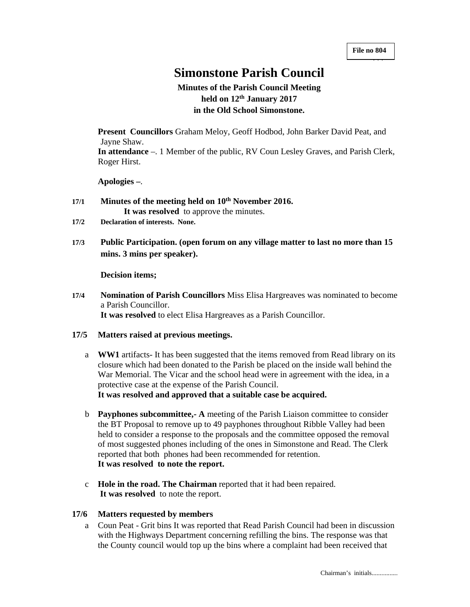+++

# **Simonstone Parish Council**

## **Minutes of the Parish Council Meeting held on 12th January 2017 in the Old School Simonstone.**

**Present Councillors** Graham Meloy, Geoff Hodbod, John Barker David Peat, and Jayne Shaw.

**In attendance** –. 1 Member of the public, RV Coun Lesley Graves, and Parish Clerk, Roger Hirst.

**Apologies –**.

- **17/1 Minutes of the meeting held on 10th November 2016. It was resolved** to approve the minutes.
- **17/2 Declaration of interests. None.**
- **17/3 Public Participation. (open forum on any village matter to last no more than 15 mins. 3 mins per speaker).**

#### **Decision items;**

**17/4 Nomination of Parish Councillors** Miss Elisa Hargreaves was nominated to become a Parish Councillor. **It was resolved** to elect Elisa Hargreaves as a Parish Councillor.

## **17/5 Matters raised at previous meetings.**

- a **WW1** artifacts- It has been suggested that the items removed from Read library on its closure which had been donated to the Parish be placed on the inside wall behind the War Memorial. The Vicar and the school head were in agreement with the idea, in a protective case at the expense of the Parish Council. **It was resolved and approved that a suitable case be acquired.**
- b **Payphones subcommittee,- A** meeting of the Parish Liaison committee to consider the BT Proposal to remove up to 49 payphones throughout Ribble Valley had been held to consider a response to the proposals and the committee opposed the removal of most suggested phones including of the ones in Simonstone and Read. The Clerk reported that both phones had been recommended for retention. **It was resolved to note the report.**
- c **Hole in the road. The Chairman** reported that it had been repaired. **It was resolved** to note the report.

## **17/6 Matters requested by members**

a Coun Peat - Grit bins It was reported that Read Parish Council had been in discussion with the Highways Department concerning refilling the bins. The response was that the County council would top up the bins where a complaint had been received that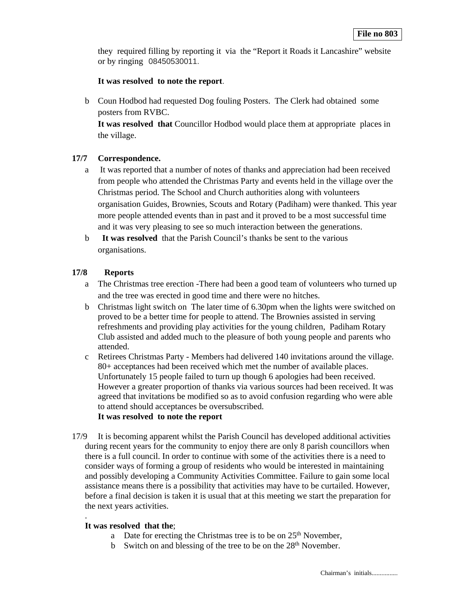they required filling by reporting it via the "Report it Roads it Lancashire" website or by ringing 08450530011.

## **It was resolved to note the report**.

b Coun Hodbod had requested Dog fouling Posters. The Clerk had obtained some posters from RVBC.

**It was resolved that** Councillor Hodbod would place them at appropriate places in the village.

## **17/7 Correspondence.**

- a It was reported that a number of notes of thanks and appreciation had been received from people who attended the Christmas Party and events held in the village over the Christmas period. The School and Church authorities along with volunteers organisation Guides, Brownies, Scouts and Rotary (Padiham) were thanked. This year more people attended events than in past and it proved to be a most successful time and it was very pleasing to see so much interaction between the generations.
- b **It was resolved** that the Parish Council's thanks be sent to the various organisations.

## **17/8 Reports**

- a The Christmas tree erection -There had been a good team of volunteers who turned up and the tree was erected in good time and there were no hitches.
- b Christmas light switch on The later time of 6.30pm when the lights were switched on proved to be a better time for people to attend. The Brownies assisted in serving refreshments and providing play activities for the young children, Padiham Rotary Club assisted and added much to the pleasure of both young people and parents who attended.
- c Retirees Christmas Party Members had delivered 140 invitations around the village. 80+ acceptances had been received which met the number of available places. Unfortunately 15 people failed to turn up though 6 apologies had been received. However a greater proportion of thanks via various sources had been received. It was agreed that invitations be modified so as to avoid confusion regarding who were able to attend should acceptances be oversubscribed. **It was resolved to note the report**
- 17/9 It is becoming apparent whilst the Parish Council has developed additional activities during recent years for the community to enjoy there are only 8 parish councillors when there is a full council. In order to continue with some of the activities there is a need to consider ways of forming a group of residents who would be interested in maintaining and possibly developing a Community Activities Committee. Failure to gain some local assistance means there is a possibility that activities may have to be curtailed. However, before a final decision is taken it is usual that at this meeting we start the preparation for the next years activities.

#### **It was resolved that the**;

.

- a Date for erecting the Christmas tree is to be on 25<sup>th</sup> November,
- b Switch on and blessing of the tree to be on the  $28<sup>th</sup>$  November.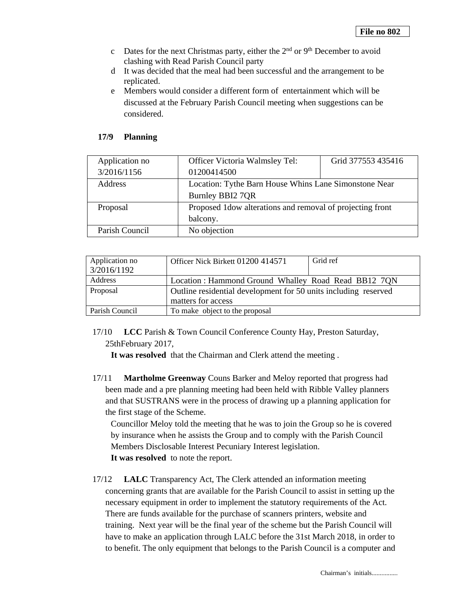- c Dates for the next Christmas party, either the  $2<sup>nd</sup>$  or  $9<sup>th</sup>$  December to avoid clashing with Read Parish Council party
- d It was decided that the meal had been successful and the arrangement to be replicated.
- e Members would consider a different form of entertainment which will be discussed at the February Parish Council meeting when suggestions can be considered.

## **17/9 Planning**

| Application no | Officer Victoria Walmsley Tel:                             | Grid 377553 435416 |
|----------------|------------------------------------------------------------|--------------------|
| 3/2016/1156    | 01200414500                                                |                    |
| Address        | Location: Tythe Barn House Whins Lane Simonstone Near      |                    |
|                | Burnley BBI2 7QR                                           |                    |
| Proposal       | Proposed 1 dow alterations and removal of projecting front |                    |
|                | balcony.                                                   |                    |
| Parish Council | No objection                                               |                    |

| Application no<br>3/2016/1192 | Officer Nick Birkett 01200 414571                                                     | Grid ref |
|-------------------------------|---------------------------------------------------------------------------------------|----------|
| Address                       | Location: Hammond Ground Whalley Road Read BB12 7QN                                   |          |
| Proposal                      | Outline residential development for 50 units including reserved<br>matters for access |          |
| Parish Council                | To make object to the proposal                                                        |          |

17/10 **LCC** Parish & Town Council Conference County Hay, Preston Saturday, 25thFebruary 2017,

**It was resolved** that the Chairman and Clerk attend the meeting .

17/11 **Martholme Greenway** Couns Barker and Meloy reported that progress had been made and a pre planning meeting had been held with Ribble Valley planners and that SUSTRANS were in the process of drawing up a planning application for the first stage of the Scheme.

Councillor Meloy told the meeting that he was to join the Group so he is covered by insurance when he assists the Group and to comply with the Parish Council Members Disclosable Interest Pecuniary Interest legislation. **It was resolved** to note the report.

17/12 **LALC** Transparency Act, The Clerk attended an information meeting concerning grants that are available for the Parish Council to assist in setting up the necessary equipment in order to implement the statutory requirements of the Act. There are funds available for the purchase of scanners printers, website and training. Next year will be the final year of the scheme but the Parish Council will have to make an application through LALC before the 31st March 2018, in order to to benefit. The only equipment that belongs to the Parish Council is a computer and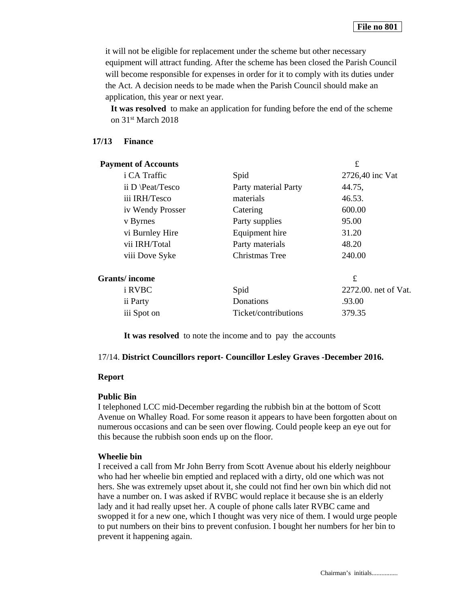it will not be eligible for replacement under the scheme but other necessary equipment will attract funding. After the scheme has been closed the Parish Council will become responsible for expenses in order for it to comply with its duties under the Act. A decision needs to be made when the Parish Council should make an application, this year or next year.

**It was resolved** to make an application for funding before the end of the scheme on 31st March 2018

## **17/13 Finance**

| <b>Payment of Accounts</b> |                      | £                    |
|----------------------------|----------------------|----------------------|
| i CA Traffic               | Spid                 | 2726,40 inc Vat      |
| ii D \Peat/Tesco           | Party material Party | 44.75,               |
| iii IRH/Tesco              | materials            | 46.53.               |
| iv Wendy Prosser           | Catering             | 600.00               |
| v Byrnes                   | Party supplies       | 95.00                |
| vi Burnley Hire            | Equipment hire       | 31.20                |
| vii IRH/Total              | Party materials      | 48.20                |
| viii Dove Syke             | Christmas Tree       | 240.00               |
| <b>Grants/income</b>       |                      | £                    |
| i RVBC                     | Spid                 | 2272.00. net of Vat. |
| ii Party                   | Donations            | .93.00               |
| iii Spot on                | Ticket/contributions | 379.35               |

**It was resolved** to note the income and to pay the accounts

## 17/14. **District Councillors report- Councillor Lesley Graves -December 2016.**

#### **Report**

## **Public Bin**

I telephoned LCC mid-December regarding the rubbish bin at the bottom of Scott Avenue on Whalley Road. For some reason it appears to have been forgotten about on numerous occasions and can be seen over flowing. Could people keep an eye out for this because the rubbish soon ends up on the floor.

## **Wheelie bin**

I received a call from Mr John Berry from Scott Avenue about his elderly neighbour who had her wheelie bin emptied and replaced with a dirty, old one which was not hers. She was extremely upset about it, she could not find her own bin which did not have a number on. I was asked if RVBC would replace it because she is an elderly lady and it had really upset her. A couple of phone calls later RVBC came and swopped it for a new one, which I thought was very nice of them. I would urge people to put numbers on their bins to prevent confusion. I bought her numbers for her bin to prevent it happening again.